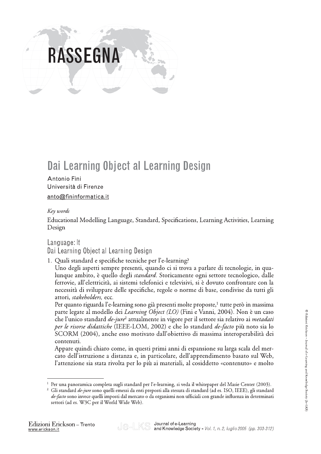# **RASSEGNA**

## Dai Learning Object al Learning Design

#### Antonio Fini Università di Firenze anto@fininformatica.it

#### Key words

Educational Modelling Language, Standard, Specifications, Learning Activities, Learning Design

### Language: It Dai Learning Object al Learning Design

1. Quali standard e specifiche tecniche per l'e-learning? Uno degli aspetti sempre presenti, quando ci si trova a parlare di tecnologie, in qualunque ambito, è quello degli *standard*. Storicamente ogni settore tecnologico, dalle ferrovie, all'elettricità, ai sistemi telefonici e televisivi, si è dovuto confrontare con la necessità di sviluppare delle specifiche, regole o norme di base, condivise da tutti gli attori, stakeholders, ecc.

Per quanto riguarda l'e-learning sono già presenti molte proposte,<sup>1</sup> tutte però in massima parte legate al modello dei Learning Object (LO) (Fini e Vanni, 2004). Non è un caso che l'unico standard *de-jure*<sup>2</sup> attualmente in vigore per il settore sia relativo ai *metadati* per le risorse didattiche (IEEE-LOM, 2002) e che lo standard de-facto più noto sia lo SCORM (2004), anche esso motivato dall'obiettivo di massima interoperabilità dei contenuti.

Appare quindi chiaro come, in questi primi anni di espansione su larga scala del mercato dell'istruzione a distanza e, in particolare, dell'apprendimento basato sul Web, l'attenzione sia stata rivolta per lo più ai materiali, al cosiddetto «contenuto» e molto



Per una panoramica completa sugli standard per l'e-learning, si veda il whitepaper del Masie Center (2003).

<sup>&</sup>lt;sup>2</sup> Gli standard *de-jure* sono quelli emessi da enti preposti alla stesura di standard (ad es. ISO, IEEE), gli standard de-facto sono invece quelli imposti dal mercato o da organismi non ufficiali con grande influenza in determinati settori (ad es. W3C per il World Wide Web).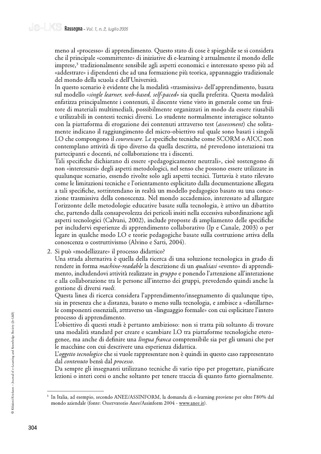meno al «processo» di apprendimento. Questo stato di cose è spiegabile se si considera che il principale «committente» di iniziative di e-learning è attualmente il mondo delle imprese,<sup>3</sup> tradizionalmente sensibile agli aspetti economici e interessato spesso più ad «addestrare» i dipendenti che ad una formazione più teorica, appannaggio tradizionale del mondo della scuola e dell'Università.

In questo scenario è evidente che la modalità «trasmissiva» dell'apprendimento, basata sul modello «single learner, web-based, self-paced» sia quella preferita. Questa modalità enfatizza principalmente i contenuti, il discente viene visto in generale come un fruitore di materiali multimediali, possibilmente organizzati in modo da essere riusabili e utilizzabili in contesti tecnici diversi. Lo studente normalmente interagisce soltanto con la piattaforma di erogazione dei contenuti attraverso test (assessment) che solitamente indicano il raggiungimento del micro-obiettivo sul quale sono basati i singoli LO che compongono il *courseware*. Le specifiche tecniche come SCORM o AICC non contemplano attività di tipo diverso da quella descritta, né prevedono interazioni tra partecipanti e docenti, né collaborazione tra i discenti.

Tali specifiche dichiarano di essere «pedagogicamente neutrali», cioè sostengono di non «interessarsi» degli aspetti metodologici, nel senso che possono essere utilizzate in qualunque scenario, essendo rivolte solo agli aspetti tecnici. Tuttavia è stato rilevato come le limitazioni tecniche e l'orientamento esplicitato dalla documentazione allegata a tali specifiche, sottintendano in realtà un modello pedagogico basato su una concezione trasmissiva della conoscenza. Nel mondo accademico, interessato ad allargare l'orizzonte delle metodologie educative basate sulla tecnologia, è attivo un dibattito che, partendo dalla consapevolezza dei pericoli insiti nella eccessiva subordinazione agli aspetti tecnologici (Calvani, 2002), include proposte di ampliamento delle specifiche per includervi esperienze di apprendimento collaborativo (Ip e Canale, 2003) o per legare in qualche modo LO e teorie pedagogiche basate sulla costruzione attiva della conoscenza o costruttivismo (Alvino e Sarti, 2004).

2. Si può «modellizzare» il processo didattico?

Una strada alternativa è quella della ricerca di una soluzione tecnologica in grado di rendere in forma *machine-readable* la descrizione di un *qualsiasi* «evento» di apprendimento, includendovi attività realizzate in gruppo e ponendo l'attenzione all'interazione e alla collaborazione tra le persone all'interno dei gruppi, prevedendo quindi anche la gestione di diversi *ruoli*.

Questa linea di ricerca considera l'apprendimento/insegnamento di qualunque tipo, sia in presenza che a distanza, basato o meno sulla tecnologia, e ambisce a «distillarne» le componenti essenziali, attraverso un «linguaggio formale» con cui esplicitare l'intero processo di apprendimento.

L'obiettivo di questi studi è pertanto ambizioso: non si tratta più soltanto di trovare una modalità standard per creare e scambiare LO tra piattaforme tecnologiche eterogenee, ma anche di definire una *lingua franca* comprensibile sia per gli umani che per le macchine con cui descrivere una esperienza didattica.

L'oggetto tecnologico che si vuole rappresentare non è quindi in questo caso rappresentato dal *contenuto* bensì dal *processo*.

Da sempre gli insegnanti utilizzano tecniche di vario tipo per progettare, pianificare lezioni o interi corsi o anche soltanto per tenere traccia di quanto fatto giornalmente.

<sup>&</sup>lt;sup>3</sup> In Italia, ad esempio, secondo ANEE/ASSINFORM, la domanda di e-learning proviene per oltre l'80% dal mondo aziendale (fonte: Osservatorio Anee/Assinform 2004 - www.anee.it).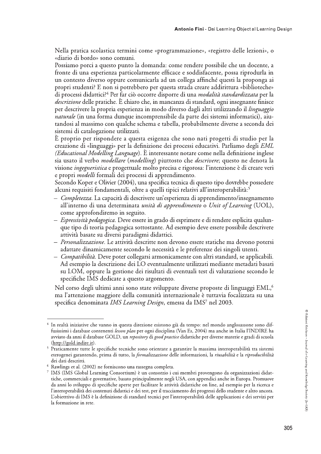Nella pratica scolastica termini come «programmazione», «registro delle lezioni», o «diario di bordo» sono comuni.

Possiamo porci a questo punto la domanda: come rendere possibile che un docente, a fronte di una esperienza particolarmente efficace e soddisfacente, possa riprodurla in un contesto diverso oppure comunicarla ad un collega affinché questi la proponga ai propri studenti? E non si potrebbero per questa strada creare addirittura «biblioteche» di processi didattici?<sup>4</sup> Per far ciò occorre disporre di una *modalità standardizzata* per la *descrizione* delle pratiche. È chiaro che, in mancanza di standard, ogni insegnante finisce per descrivere la propria esperienza in modo diverso dagli altri utilizzando il *linguaggio naturale* (in una forma dunque incomprensibile da parte dei sistemi informatici), aiutandosi al massimo con qualche schema e tabella, probabilmente diverse a seconda dei sistemi di catalogazione utilizzati.

È proprio per rispondere a questa esigenza che sono nati progetti di studio per la creazione di «linguaggi» per la definizione dei processi educativi. Parliamo degli EML *(Educational Modelling Language)*. È interessante notare come nella definizione inglese sia usato il verbo *modellare* (*modelling*) piuttosto che *descrivere*; questo ne denota la visione *ingegneristica* e progettuale molto precisa e rigorosa: l'intenzione è di creare veri e propri *modelli* formali dei processi di apprendimento.

Secondo Koper e Olivier (2004), una specifica tecnica di questo tipo dovrebbe possedere alcuni requisiti fondamentali, oltre a quelli tipici relativi all'interoperabilità:<sup>5</sup>

- *Completezza*. La capacità di descrivere un'esperienza di apprendimento/insegnamento all'interno di una determinata unità di apprendimento o Unit of Learning (UOL), come approfondiremo in seguito.
- Espressività pedagogica. Deve essere in grado di esprimere e di rendere esplicita qualunque tipo di teoria pedagogica sottostante. Ad esempio deve essere possibile descrivere attività basate su diversi paradigmi didattici.
- Personalizzazione. Le attività descritte non devono essere statiche ma devono potersi adattare dinamicamente secondo le necessità e le preferenze dei singoli utenti.
- *Compatibilità*. Deve poter collegarsi armonicamente con altri standard, se applicabili. Ad esempio la descrizione dei LO eventualmente utilizzati mediante metadati basati su LOM, oppure la gestione dei risultati di eventuali test di valutazione secondo le specifiche IMS dedicate a questo argomento.

Nel corso degli ultimi anni sono state sviluppate diverse proposte di linguaggi EML,<sup>6</sup> ma l'attenzione maggiore della comunità internazionale è tuttavia focalizzata su una specifica denominata IMS Learning Design, emessa da IMS7 nel 2003.

<sup>&</sup>lt;sup>4</sup> In realtà iniziative che vanno in questa direzione esistono già da tempo: nel mondo anglosassone sono diffusissimi i database contenenti lesson plan per ogni disciplina (Van Es, 2004) ma anche in Italia l'INDIRE ha avviato da anni il database GOLD, un repository di good practice didattiche per diverse materie e gradi di scuola (http://gold.indire.it).

<sup>&</sup>lt;sup>5</sup> Praticamente tutte le specifiche tecniche sono orientate a garantire la massima interoperabilità tra sistemi eterogenei garantendo, prima di tutto, la formalizzazione delle informazioni, la riusabilità e la riproducibilità dei dati descritti.

<sup>&</sup>lt;sup>6</sup> Rawlings et al. (2002) ne forniscono una rassegna completa.

<sup>7</sup> IMS (IMS Global Learning Consortium) è un consorzio i cui membri provengono da organizzazioni didattiche, commerciali e governative, basato principalmente negli USA, con appendici anche in Europa. Promuove da anni lo sviluppo di specifiche aperte per facilitare le attività didattiche on line, ad esempio per la ricerca e l'interoperabilità dei contenuti didattici e dei test, per il tracciamento dei progressi dello studente e altro ancora. L'obietttivo di IMS è la definizione di standard tecnici per l'interoperabilità delle applicazioni e dei servizi per la formazione in rete.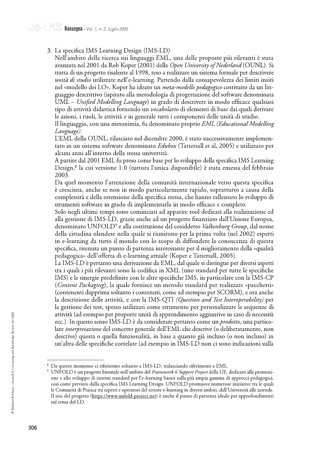3. La specifica IMS Learning Design (IMS-LD)

Nell'ambito della ricerca sui linguaggi EML, una delle proposte più rilevanti è stata avanzata nel 2001 da Rob Koper (2001) della Open University of Nederland (OUNL). Si tratta di un progetto risalente al 1998, teso a realizzare un sistema formale per descrivere unità di studio utilizzate nell'e-learning. Partendo dalla consapevolezza dei limiti insiti nel «modello dei LO», Koper ha ideato un *meta-modello pedagogico* costituito da un linguaggio descrittivo (ispirato alla metodologia di progettazione del software denominata UML – Unified Modelling Language) in grado di descrivere in modo efficace qualsiasi tipo di attività didattica fornendo un *vocabolario* di elementi di base dai quali derivare le azioni, i ruoli, le attività e in generale tutti i componenti delle unità di studio.

Il linguaggio, con una metonimia, fu denominato proprio EML (Educational Modelling Language).

L'EML della OUNL, rilasciato nel dicembre 2000, è stato successivamente implementato in un sistema software denominato Edubox (Tattersall et al, 2005) e utilizzato per alcuni anni all'interno della stessa università.

A partire dal 2001 EML fu preso come base per lo sviluppo della specifica IMS Learning Design,<sup>8</sup> la cui versione 1.0 (tuttora l'unica disponibile) è stata emessa del febbraio 2003.

Da quel momento l'attenzione della comunità internazionale verso questa specifica è cresciuta, anche se non in modo particolarmente rapido, soprattutto a causa della complessità e della estensione della specifica stessa, che hanno rallentato lo sviluppo di strumenti software in grado di implementarla in modo efficace e completo.

Solo negli ultimi tempi sono cominciati ad apparire tool dedicati alla realizzazione ed alla gestione di IMS-LD, grazie anche ad un progetto finanziato dall'Unione Europea, denominato UNFOLD<sup>9</sup> e alla costituzione del cosiddetto Valkenburg Group, dal nome della cittadina olandese nella quale si riunirono per la prima volta (nel 2002) esperti in e-learning da tutto il mondo con lo scopo di diffondere la conoscenza di questa specifica, ritenuta un punto di partenza interessante per il miglioramento della «qualità pedagogica» dell'offerta di e-learning attuale (Koper e Tattersall, 2005).

La IMS-LD è pertanto una derivazione da EML, dal quale si distingue per diversi aspetti tra i quali i più rilevanti sono la codifica in XML (uno standard per tutte le specifiche IMS) e le sinergie predefinite con le altre specifiche IMS, in particolare con la IMS-CP *(Content Packaging)*, la quale fornisce un metodo standard per realizzare «pacchetti» (contenenti dapprima soltanto i contenuti, come ad esempio per SCORM), e ora anche la descrizione delle attività, e con la IMS-QTI (Question and Test Interoperability) per la gestione dei test, spesso utilizzati come strumento per personalizzare le sequenze di attività (ad esempio per proporre unità di apprendimento aggiuntive in caso di necessità ecc.). In questo senso IMS-LD è da considerare pertanto come un *prodotto*, una particolare *interpretazione* del concetto generale dell'EML che descrive (o deliberatamente, non descrive) questa o quella funzionalità, in base a quanto già incluso (o non incluso) in un'altra delle specifiche correlate (ad esempio in IMS-LD non ci sono indicazioni sulla

Da questo momento ci riferiremo soltanto a IMS-LD, tralasciando riferimenti a EML.

<sup>&</sup>lt;sup>9</sup> UNFOLD è un progetto biennale nell'ambito del Framework 6 Support Project della UE, dedicato alla promozione e allo sviluppo di sistemi standard per l'e-learning basati sulla più ampia gamma di approcci pedagogici, così come previsto dalla specifica IMS Learning Design. UNFOLD promuove numerose iniziative tra le quali le Comunità di Pratica tra esperti e operatori del settore e-learning in diversi ambiti, dall'Università alle aziende. Il sito del progetto (https://www.unfold-project.net) è anche il punto di partenza ideale per approfondimenti sul tema del LD.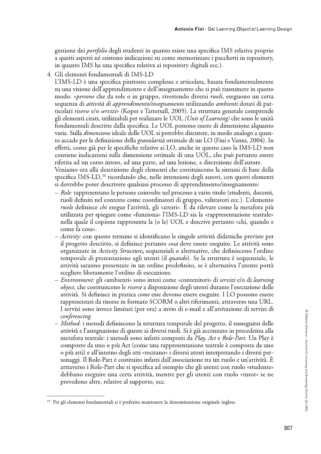gestione dei *portfolio* degli studenti in quanto esiste una specifica IMS relativa proprio a questi aspetti né esistono indicazioni su come memorizzare i pacchetti in repository, in quanto IMS ha una specifica relativa ai repository digitali ecc.).

4. Gli elementi fondamentali di IMS-LD

L'IMS-LD è una specifica piuttosto complessa e articolata, basata fondamentalmente su una visione dell'apprendimento e dell'insegnamento che si può riassumere in questo modo: «*persone* che da sole o in gruppo, rivestendo diversi *ruoli*, eseguono un certa sequenza di *attività di apprendimento/insegnamento* utilizzando *ambienti* dotati di particolari *risorse* e/o *servizi»* (Koper e Tattersall, 2005). La struttura generale comprende gli elementi citati, utilizzabili per realizzare le UOL (Unit of Learning) che sono le unità fondamentali descritte dalla specifica. Le UOL possono essere di dimensione alquanto varia. Sulla *dimensione* ideale delle UOL si potrebbe discutere, in modo analogo a quanto accade per la definizione della granularità ottimale di un LO (Fini e Vanni, 2004). In effetti, come già per le specifiche relative ai LO, anche in questo caso la IMS-LD non contiene indicazioni sulla dimensione ottimale di una UOL, che può pertanto essere riferita ad un corso intero, ad una parte, ad una lezione, a discrezione dell'autore. Veniamo ora alla descrizione degli elementi che costituiscono la sintassi di base della specifica IMS-LD,<sup>10</sup> ricordando che, nelle intenzioni degli autori, con questi elementi si dovrebbe poter descrivere qualsiasi processo di apprendimento/insegnamento:

- Role: rappresentano le persone coinvolte nel processo a vario titolo (studenti, docenti, ruoli definiti nel contesto come coordinatori di gruppo, valutatori ecc.). L'elemento *ruolo* definisce *chi* esegue l'attività, gli «attori». È da rilevare come la metafora più utilizzata per spiegare come «funziona» l'IMS-LD sia la «rappresentazione teatrale» nella quale il copione rappresenta la (o le) UOL e descrive pertanto «chi, quando e come fa cosa».
- Activity: con questo termine si identificano le singole attività didattiche previste per il progetto descritto, si definisce pertanto *cosa* deve essere eseguito. Le attività sono organizzate in Activity Structure, sequenziali o alternative, che definiscono l'ordine temporale di presentazione agli utenti (il *quando*). Se la struttura è sequenziale, le attività saranno presentate in un ordine predefinito, se è alternativa l'utente potrà scegliere liberamente l'ordine di esecuzione.
- *Environment:* gli «ambienti» sono intesi come «contenitori» di *servizi* e/o di *learning object*, che costituiscono le *risorse* a disposizione degli utenti durante l'esecuzione delle attività. Si definisce in pratica come esse devono essere eseguite. I LO possono essere rappresentati da risorse in formato SCORM o altri riferimenti, attraverso una URL. I servizi sono invece limitati (per ora) a invio di e-mail e all'attivazione di servizi di conferencing.
- *Method:* i metodi definiscono la struttura temporale del progetto, il susseguirsi delle attività e l'assegnazione di queste ai diversi ruoli. Si è già accennato in precedenza alla metafora teatrale: i metodi sono infatti composti da Play, Act e Role-Part. Un Play è composto da uno o più Act (come una rappresentazione teatrale è composta da uno o più atti) e all'interno degli atti «recitano» i diversi attori interpretando i diversi personaggi. Il Role-Part è costituito infatti dall'associazione tra un ruolo e un'attività. È attraverso i Role-Part che si specifica ad esempio che gli utenti con ruolo «studente» debbano eseguire una certa attività, mentre per gli utenti con ruolo «tutor» se ne prevedono altre, relative al supporto, ecc.

<sup>&</sup>lt;sup>10</sup> Per gli elementi fondamentali si è preferito mantenere la denominazione originale inglese.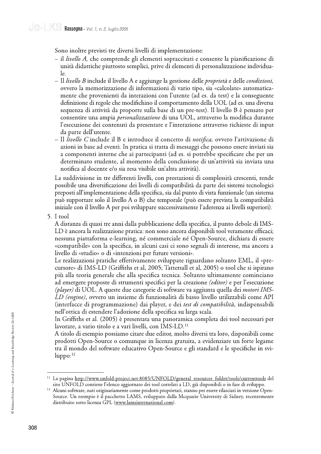Sono inoltre previsti tre diversi livelli di implementazione:

- il *livello A*, che comprende gli elementi sopraccitati e consente la pianificazione di unità didattiche piuttosto semplici, prive di elementi di personalizzazione individuale.
- Il *livello B* include il livello A e aggiunge la gestione delle *proprietà* e delle *condizioni*, ovvero la memorizzazione di informazioni di vario tipo, sia «calcolate» automaticamente che provenienti da interazioni con l'utente (ad es. da test) e la conseguente definizione di regole che modifichino il comportamento della UOL (ad es. una diversa sequenza di attività da proporre sulla base di un pre-test). Il livello B è pensato per consentire una ampia *personalizzazione* di una UOL, attraverso la modifica durante l'esecuzione dei contenuti da presentare e l'interazione attraverso richieste di input da parte dell'utente.
- Il *livello C* include il B e introduce il concetto di *notifica*, ovvero l'attivazione di azioni in base ad eventi. In pratica si tratta di messaggi che possono essere inviati sia a componenti interne che ai partecipanti (ad es. si potrebbe specificare che per un determinato studente, al momento della conclusione di un'attività sia inviata una notifica al docente e/o sia resa visibile un'altra attività).

La suddivisione in tre differenti livelli, con prestazioni di complessità crescenti, rende possibile una diversificazione dei livelli di compatibilità da parte dei sistemi tecnologici preposti all'implementazione della specifica, sia dal punto di vista funzionale (un sistema può supportare solo il livello A o B) che temporale (può essere prevista la compatibilità iniziale con il livello A per poi sviluppare successivamente l'aderenza ai livelli superiori).

5. I tool

A distanza di quasi tre anni dalla pubblicazione della specifica, il punto debole di IMS-LD è ancora la realizzazione pratica: non sono ancora disponibili tool veramente efficaci; nessuna piattaforma e-learning, né commerciale né Open-Source, dichiara di essere «compatibile» con la specifica, in alcuni casi ci sono segnali di interesse, ma ancora a livello di «studio» o di «intenzioni per future versioni».

Le realizzazioni pratiche effettivamente sviluppate riguardano soltanto EML, il «precursore» di IMS-LD (Griffiths et al, 2005; Tattersall et al, 2005) o tool che si ispirano più alla teoria generale che alla specifica tecnica. Soltanto ultimamente cominciano ad emergere proposte di strumenti specifici per la creazione *(editor)* e per l'esecuzione (player) di UOL. A queste due categorie di software va aggiunta quella dei *motori IMS*-LD (engine), ovvero un insieme di funzionalità di basso livello utilizzabili come API (interfacce di programmazione) dai player, e dei test di compatibilità, indispensabili nell'ottica di estendere l'adozione della specifica su larga scala.

In Griffiths et al. (2005) è presentata una panoramica completa dei tool necessari per lavorare, a vario titolo e a vari livelli, con IMS-LD.<sup>11</sup>

A titolo di esempio possiamo citare due editor, molto diversi tra loro, disponibili come prodotti Open-Source o comunque in licenza gratuita, a evidenziare un forte legame tra il mondo del software educativo Open-Source e gli standard e le specifiche in svi $l$ uppo: $12$ 

<sup>&</sup>lt;sup>11</sup> La pagina http://www.unfold-project.net:8085/UNFOLD/general resources folder/tools/currenttools del sito UNFOLD contiene l'elenco aggiornato dei tool correlati a LD, già disponibili o in fase di sviluppo.

<sup>&</sup>lt;sup>12</sup> Alcuni software, nati originariamente come prodotti proprietari, stanno per essere rilasciati in versione Open-Source. Un esempio è il pacchetto LAMS, sviluppato dalla Mcquarie University di Sidney, recentemente distribuito sotto licenza GPL (www.lamsinternational.com).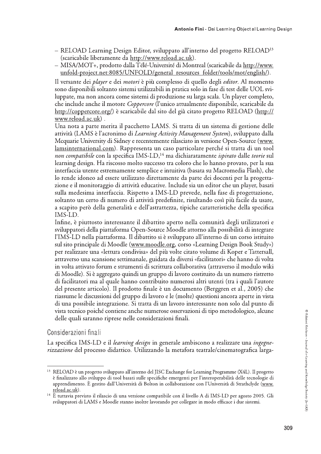- RELOAD Learning Design Editor, sviluppato all'interno del progetto RELOAD<sup>13</sup> (scaricabile liberamente da http://www.reload.ac.uk).
- MISA/MOT+, prodotto dalla Télé-Université di Montreal (scaricabile da http://www. unfold-project.net:8085/UNFOLD/general\_resources\_folder/tools/mot/english/).

Il versante dei *player* e dei *motori* è più complesso di quello degli *editor*. Al momento sono disponibili soltanto sistemi utilizzabili in pratica solo in fase di test delle UOL sviluppate, ma non ancora come sistemi di produzione su larga scala. Un player completo, che include anche il motore Coppercore (l'unico attualmente disponibile, scaricabile da http://coppercore.org/) è scaricabile dal sito del già citato progetto RELOAD (http:// www.reload.ac.uk).

Una nota a parte merita il pacchetto LAMS. Si tratta di un sistema di gestione delle attività (LAMS è l'acronimo di Learning Activity Management System), sviluppato dalla Mequarie University di Sidney e recentemente rilasciato in versione Open-Source (www. lamsinternational.com). Rappresenta un caso particolare perché si tratta di un tool non compatibile con la specifica IMS-LD,<sup>14</sup> ma dichiaratamente *ispirato* dalle teorie sul learning design. Ha riscosso molto successo tra coloro che lo hanno provato, per la sua interfaccia utente estremamente semplice e intuitiva (basata su Macromedia Flash), che lo rende idoneo ad essere utilizzato direttamente da parte dei docenti per la progettazione e il monitoraggio di attività educative. Include sia un editor che un player, basati sulla medesima interfaccia. Rispetto a IMS-LD prevede, nella fase di progettazione, soltanto un certo di numero di attività predefinite, risultando così più facile da usare, a scapito però della generalità e dell'astrattezza, tipiche caratteristiche della specifica IMS-LD.

Infine, è piuttosto interessante il dibattito aperto nella comunità degli utilizzatori e sviluppatori della piattaforma Open-Source Moodle attorno alla possibilità di integrare l'IMS-LD nella piattaforma. Il dibattito si è sviluppato all'interno di un corso istituito sul sito principale di Moodle (www.moodle.org, corso «Learning Design Book Study») per realizzare una «lettura condivisa» del più volte citato volume di Koper e Tattersall, attraverso una scansione settimanale, guidata da diversi «facilitatori» che hanno di volta in volta attivato forum e strumenti di scrittura collaborativa (attraverso il modulo wiki di Moodle). Si è aggregato quindi un gruppo di lavoro costituito da un numero ristretto di facilitatori ma al quale hanno contribuito numerosi altri utenti (tra i quali l'autore del presente articolo). Il prodotto finale è un documento (Berggren et al., 2005) che riassume le discussioni del gruppo di lavoro e le (molte) questioni ancora aperte in vista di una possibile integrazione. Si tratta di un lavoro interessante non solo dal punto di vista tecnico poiché contiene anche numerose osservazioni di tipo metodologico, alcune delle quali saranno riprese nelle considerazioni finali.

#### Considerazioni finali

La specifica IMS-LD e il learning design in generale ambiscono a realizzare una ingegnerizzazione del processo didattico. Utilizzando la metafora teatrale/cinematografica larga-

<sup>&</sup>lt;sup>13</sup> RELOAD è un progetto sviluppato all'interno del JISC Exchange for Learning Programme (X4L). Il progetto è finalizzato allo sviluppo di tool basati sulle specifiche emergenti per l'interoperabilità delle tecnologie di apprendimento. È gestito dall'Università di Bolton in collaborazione con l'Università di Strathclyde (www. reload.ac.uk).

<sup>&</sup>lt;sup>14</sup> È tuttavia previsto il rilascio di una versione compatibile con il livello A di IMS-LD per agosto 2005. Gli sviluppatori di LAMS e Moodle stanno inoltre lavorando per collegare in modo efficace i due sistemi.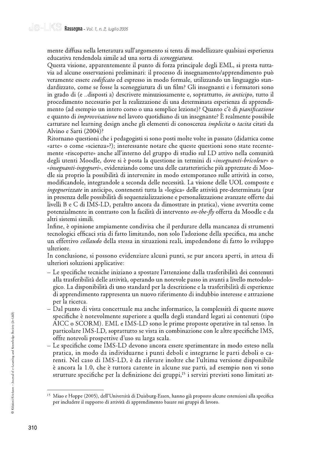mente diffusa nella letteratura sull'argomento si tenta di modellizzare qualsiasi esperienza educativa rendendola simile ad una sorta di sceneggiatura.

Questa visione, apparentemente il punto di forza principale degli EML, si presta tuttavia ad alcune osservazioni preliminari: il processo di insegnamento/apprendimento può veramente essere *codificato* ed espresso in modo formale, utilizzando un linguaggio standardizzato, come se fosse la sceneggiatura di un film? Gli insegnanti e i formatori sono in grado di (e ..disposti a) descrivere minuziosamente e, soprattutto, *in anticipo*, tutto il procedimento necessario per la realizzazione di una determinata esperienza di apprendimento (ad esempio un intero corso o una semplice lezione)? Quanto c'è di *pianificazione* e quanto di *improvvisazione* nel lavoro quotidiano di un insegnante? È realmente possibile catturare nel learning design anche gli elementi di conoscenza *implicita* o tacita citati da Alvino e Sarti (2004)?

Ritornano questioni che i pedagogisti si sono posti molte volte in passato (didattica come «arte» o come «scienza»?); interessante notare che queste questioni sono state recentemente «riscoperte» anche all'interno del gruppo di studio sul LD attivo nella comunità degli utenti Moodle, dove si è posta la questione in termini di «insegnanti-bricoleur» o «insegnanti-ingegneri», evidenziando come una delle caratteristiche più apprezzate di Moodle sia proprio la possibilità di intervenire in modo estemporaneo sulle attività in corso, modificandole, integrandole a seconda delle necessità. La visione delle UOL composte e *ingegnerizzate* in anticipo, contenenti tutta la «logica» delle attività pre-determinata (pur in presenza delle possibilità di sequenzializzazione e personalizzazione avanzate offerte dai livelli B e C di IMS-LD, peraltro ancora da dimostrare in pratica), viene avvertita come potenzialmente in contrasto con la facilità di intervento on-the-fly offerta da Moodle e da altri sistemi simili.

Infine, è opinione ampiamente condivisa che il perdurare della mancanza di strumenti tecnologici efficaci stia di fatto limitando, non solo l'adozione della specifica, ma anche un effettivo *collaudo* della stessa in situazioni reali, impedendone di fatto lo sviluppo ulteriore.

In conclusione, si possono evidenziare alcuni punti, se pur ancora aperti, in attesa di ulteriori soluzioni applicative:

- Le specifiche tecniche iniziano a spostare l'attenzione dalla trasferibilità dei contenuti alla trasferibilità delle attività, operando un notevole passo in avanti a livello metodologico. La disponibilità di uno standard per la descrizione e la trasferibilità di esperienze di apprendimento rappresenta un nuovo riferimento di indubbio interesse e attrazione per la ricerca.
- Dal punto di vista concettuale ma anche informatico, la complessità di queste nuove specifiche è notevolmente superiore a quella degli standard legati ai contenuti (tipo AICC o SCORM). EML e IMS-LD sono le prime proposte operative in tal senso. In particolare IMS-LD, soprattutto se vista in combinazione con le altre specifiche IMS, offre notevoli prospettive d'uso su larga scala.
- Le specifiche come IMS-LD devono ancora essere sperimentare in modo esteso nella pratica, in modo da individuarne i punti deboli e integrarne le parti deboli o carenti. Nel caso di IMS-LD, è da rilevare inoltre che l'ultima versione disponibile è ancora la 1.0, che è tuttora carente in alcune sue parti, ad esempio non vi sono strutture specifiche per la definizione dei gruppi,<sup>15</sup> i servizi previsti sono limitati at-

<sup>&</sup>lt;sup>15</sup> Miao e Hoppe (2005), dell'Università di Duisburg-Essen, hanno già proposto alcune estensioni alla specifica per includere il supporto di attività di apprendimento basate sui gruppi di lavoro.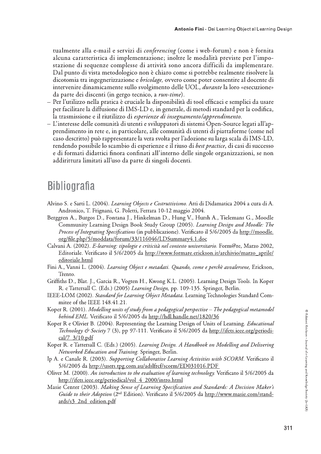tualmente alla e-mail e servizi di conferencing (come i web-forum) e non è fornita alcuna caratteristica di implementazione; inoltre le modalità previste per l'impostazione di sequenze complesse di attività sono ancora difficili da implementare. Dal punto di vista metodologico non è chiaro come si potrebbe realmente risolvere la dicotomia tra ingegnerizzazione e *bricolage*, ovvero come poter consentire al docente di intervenire dinamicamente sullo svolgimento delle UOL, *durante* la loro «esecuzione» da parte dei discenti (in gergo tecnico, a *run-time*).

- Per l'utilizzo nella pratica è cruciale la disponibilità di tool efficaci e semplici da usare per facilitare la diffusione di IMS-LD e, in generale, di metodi standard per la codifica, la trasmissione e il riutilizzo di esperienze di insegnamento/apprendimento.
- L'interesse delle comunità di utenti e sviluppatori di sistemi Open-Source legati all'apprendimento in rete e, in particolare, alle comunità di utenti di piattaforme (come nel caso descritto) può rappresentare la vera svolta per l'adozione su larga scala di IMS-LD, rendendo possibile lo scambio di esperienze e il riuso di *best practice*, di casi di successo e di formati didattici finora confinati all'interno delle singole organizzazioni, se non addirittura limitati all'uso da parte di singoli docenti.

## **Bibliografia**

- Alvino S. e Sarti L. (2004). Learning Objects e Costruttivismo. Atti di Didamatica 2004 a cura di A. Andronico, T. Frignani, G. Poletti, Ferrara 10-12 maggio 2004.
- Berggren A., Burgos D., Fontana J., Hinkelman D., Hung V., Hursh A., Tielemans G., Moodle Community Learning Design Book Study Group (2005). Learning Design and Moodle: The Process of Integrating Specifications (in pubblicazione). Verificato il 5/6/2005 da http://moodle. org/file.php/5/moddata/forum/33/116046/LDSummary4.1.doc
- Calvani A. (2002). E-learning: tipologie e criticità nel contesto universitario. Form@re, Marzo 2002, Editoriale. Verificato il 5/6/2005 da http://www.formare.erickson.it/archivio/marzo\_aprile/ editoriale.html
- Fini A., Vanni L. (2004). Learning Object e metadati. Quando, come e perchè avvalersene, Erickson, Trento.
- Griffiths D., Blat. J., Garcia R., Vogten H., Kwong K.L. (2005). Learning Design Tools. In Koper R. e Tattersall C. (Eds.) (2005) Learning Design, pp. 109-135. Springer, Berlin.
- IEEE-LOM (2002). Standard for Learning Object Metadata. Learning Technologies Standard Commitee of the IEEE 148.41.21.
- Koper R. (2001). Modelling units of study from a pedagogical perspective The pedagogical metamodel behind EML. Verificato il 5/6/2005 da http://hdl.handle.net/1820/36
- Koper R e Olivier B. (2004). Representing the Learning Design of Units of Learning. *Educational* Technology & Society 7 (3), pp 97-111. Verificato il 5/6/2005 da http://ifets.ieee.org/periodical/7 3/10.pdf
- Koper R. e Tattersall C. (Eds.) (2005). Learning Design. A Handbook on Modelling and Delivering Networked Education and Training. Springer, Berlin.
- Ip A. e Canale R. (2003). Supporting Collaborative Learning Activities with SCORM. Verificato il 5/6/2005 da http://users.tpg.com.au/adslfrcf/scorm/ED031016.PDF
- Oliver M. (2000). An introduction to the evaluation of learning technology. Verificato il 5/6/2005 da http://ifets.ieee.org/periodical/vol\_4\_2000/intro.html
- Masie Center (2003). Making Sense of Learning Specification and Standards: A Decision Maker's Guide to their Adoption (2<sup>nd</sup> Edition). Verificato il 5/6/2005 da http://www.masie.com/standards/s3 2nd edition.pdf